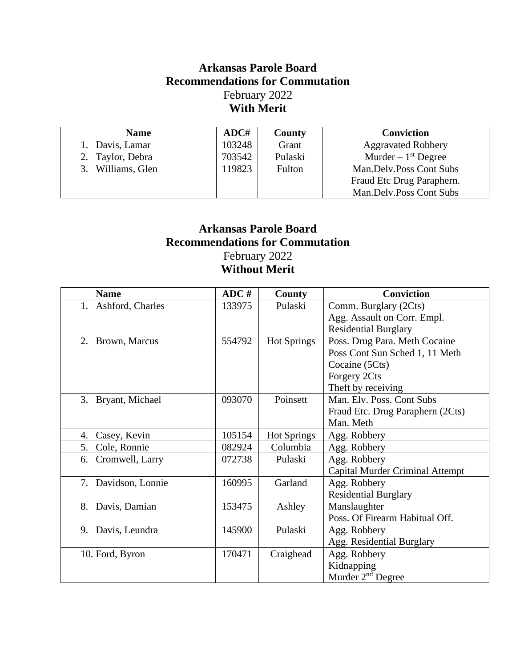## **Arkansas Parole Board Recommendations for Commutation** February 2022 **With Merit**

| <b>Name</b>          | ADC#   | County  | <b>Conviction</b>         |
|----------------------|--------|---------|---------------------------|
| 1. Davis, Lamar      | 103248 | Grant   | <b>Aggravated Robbery</b> |
| 2. Taylor, Debra     | 703542 | Pulaski | Murder $-1st$ Degree      |
| Williams, Glen<br>3. | 119823 | Fulton  | Man.Delv.Poss Cont Subs   |
|                      |        |         | Fraud Etc Drug Paraphern. |
|                      |        |         | Man.Delv.Poss Cont Subs   |

## **Arkansas Parole Board Recommendations for Commutation** February 2022 **Without Merit**

| <b>Name</b>           | ADC #  | County             | <b>Conviction</b>                      |
|-----------------------|--------|--------------------|----------------------------------------|
| 1. Ashford, Charles   | 133975 | Pulaski            | Comm. Burglary (2Cts)                  |
|                       |        |                    | Agg. Assault on Corr. Empl.            |
|                       |        |                    | <b>Residential Burglary</b>            |
| 2. Brown, Marcus      | 554792 | <b>Hot Springs</b> | Poss. Drug Para. Meth Cocaine          |
|                       |        |                    | Poss Cont Sun Sched 1, 11 Meth         |
|                       |        |                    | Cocaine (5Cts)                         |
|                       |        |                    | Forgery 2Cts                           |
|                       |        |                    | Theft by receiving                     |
| 3. Bryant, Michael    | 093070 | Poinsett           | Man. Elv. Poss. Cont Subs              |
|                       |        |                    | Fraud Etc. Drug Paraphern (2Cts)       |
|                       |        |                    | Man. Meth                              |
| Casey, Kevin<br>4.    | 105154 | <b>Hot Springs</b> | Agg. Robbery                           |
| Cole, Ronnie<br>5.    | 082924 | Columbia           | Agg. Robbery                           |
| Cromwell, Larry<br>6. | 072738 | Pulaski            | Agg. Robbery                           |
|                       |        |                    | <b>Capital Murder Criminal Attempt</b> |
| 7. Davidson, Lonnie   | 160995 | Garland            | Agg. Robbery                           |
|                       |        |                    | <b>Residential Burglary</b>            |
| Davis, Damian<br>8.   | 153475 | Ashley             | Manslaughter                           |
|                       |        |                    | Poss. Of Firearm Habitual Off.         |
| 9. Davis, Leundra     | 145900 | Pulaski            | Agg. Robbery                           |
|                       |        |                    | Agg. Residential Burglary              |
| 10. Ford, Byron       | 170471 | Craighead          | Agg. Robbery                           |
|                       |        |                    | Kidnapping                             |
|                       |        |                    | Murder 2 <sup>nd</sup> Degree          |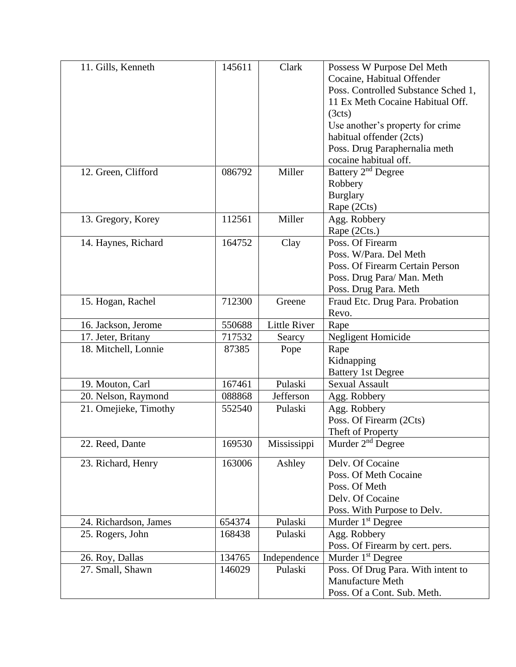| 11. Gills, Kenneth    | 145611 | Clark               | Possess W Purpose Del Meth          |
|-----------------------|--------|---------------------|-------------------------------------|
|                       |        |                     | Cocaine, Habitual Offender          |
|                       |        |                     | Poss. Controlled Substance Sched 1, |
|                       |        |                     | 11 Ex Meth Cocaine Habitual Off.    |
|                       |        |                     | (3cts)                              |
|                       |        |                     | Use another's property for crime    |
|                       |        |                     | habitual offender (2cts)            |
|                       |        |                     | Poss. Drug Paraphernalia meth       |
|                       |        |                     | cocaine habitual off.               |
| 12. Green, Clifford   | 086792 | Miller              | Battery 2 <sup>nd</sup> Degree      |
|                       |        |                     | Robbery                             |
|                       |        |                     | <b>Burglary</b>                     |
|                       |        |                     | Rape (2Cts)                         |
| 13. Gregory, Korey    | 112561 | Miller              | Agg. Robbery                        |
|                       |        |                     | Rape (2Cts.)                        |
| 14. Haynes, Richard   | 164752 | Clay                | Poss. Of Firearm                    |
|                       |        |                     | Poss. W/Para. Del Meth              |
|                       |        |                     | Poss. Of Firearm Certain Person     |
|                       |        |                     | Poss. Drug Para/ Man. Meth          |
|                       |        |                     | Poss. Drug Para. Meth               |
| 15. Hogan, Rachel     | 712300 | Greene              | Fraud Etc. Drug Para. Probation     |
|                       |        |                     | Revo.                               |
| 16. Jackson, Jerome   | 550688 | <b>Little River</b> | Rape                                |
| 17. Jeter, Britany    | 717532 | Searcy              | <b>Negligent Homicide</b>           |
| 18. Mitchell, Lonnie  | 87385  | Pope                | Rape                                |
|                       |        |                     | Kidnapping                          |
|                       |        |                     | <b>Battery 1st Degree</b>           |
| 19. Mouton, Carl      | 167461 | Pulaski             | <b>Sexual Assault</b>               |
| 20. Nelson, Raymond   | 088868 | Jefferson           | Agg. Robbery                        |
| 21. Omejieke, Timothy | 552540 | Pulaski             | Agg. Robbery                        |
|                       |        |                     | Poss. Of Firearm (2Cts)             |
|                       |        |                     | Theft of Property                   |
| 22. Reed, Dante       | 169530 | Mississippi         | Murder $2nd$ Degree                 |
| 23. Richard, Henry    | 163006 | Ashley              | Delv. Of Cocaine                    |
|                       |        |                     | Poss. Of Meth Cocaine               |
|                       |        |                     | Poss. Of Meth                       |
|                       |        |                     | Delv. Of Cocaine                    |
|                       |        |                     | Poss. With Purpose to Delv.         |
| 24. Richardson, James | 654374 | Pulaski             | Murder 1 <sup>st</sup> Degree       |
| 25. Rogers, John      | 168438 | Pulaski             | Agg. Robbery                        |
|                       |        |                     | Poss. Of Firearm by cert. pers.     |
| 26. Roy, Dallas       | 134765 | Independence        | Murder 1 <sup>st</sup> Degree       |
| 27. Small, Shawn      | 146029 | Pulaski             | Poss. Of Drug Para. With intent to  |
|                       |        |                     | <b>Manufacture Meth</b>             |
|                       |        |                     | Poss. Of a Cont. Sub. Meth.         |